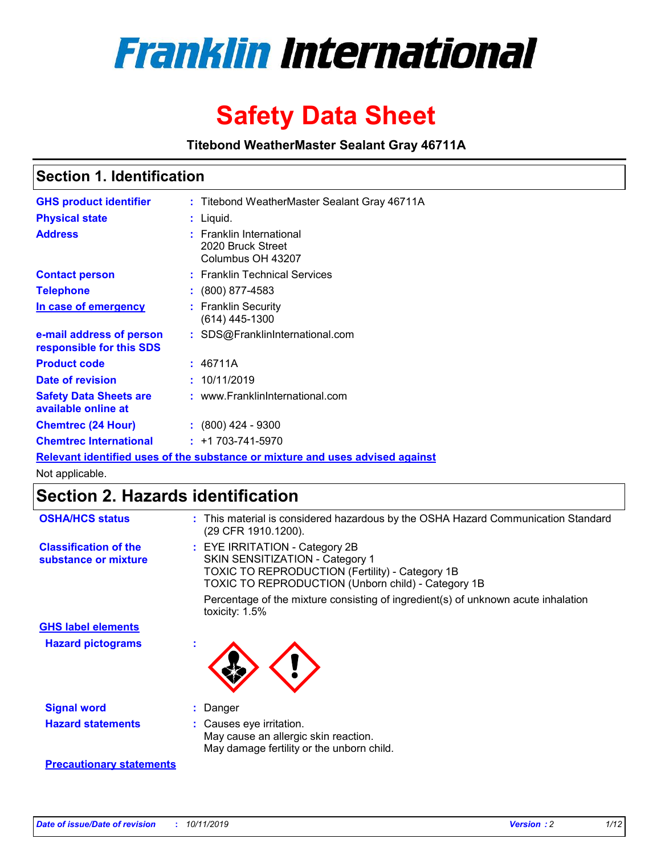

# **Safety Data Sheet**

**Titebond WeatherMaster Sealant Gray 46711A**

### **Section 1. Identification**

| <b>GHS product identifier</b>                        | : Titebond WeatherMaster Sealant Gray 46711A                                  |
|------------------------------------------------------|-------------------------------------------------------------------------------|
| <b>Physical state</b>                                | : Liquid.                                                                     |
| <b>Address</b>                                       | : Franklin International<br>2020 Bruck Street<br>Columbus OH 43207            |
| <b>Contact person</b>                                | : Franklin Technical Services                                                 |
| <b>Telephone</b>                                     | $\colon$ (800) 877-4583                                                       |
| In case of emergency                                 | : Franklin Security<br>(614) 445-1300                                         |
| e-mail address of person<br>responsible for this SDS | : SDS@FranklinInternational.com                                               |
| <b>Product code</b>                                  | : 46711A                                                                      |
| Date of revision                                     | : 10/11/2019                                                                  |
| <b>Safety Data Sheets are</b><br>available online at | : www.FranklinInternational.com                                               |
| <b>Chemtrec (24 Hour)</b>                            | $: (800)$ 424 - 9300                                                          |
| <b>Chemtrec International</b>                        | $: +1703 - 741 - 5970$                                                        |
|                                                      | Relevant identified uses of the substance or mixture and uses advised against |

Not applicable.

## **Section 2. Hazards identification**

| <b>OSHA/HCS status</b>                               | : This material is considered hazardous by the OSHA Hazard Communication Standard<br>(29 CFR 1910.1200).                                                                                 |
|------------------------------------------------------|------------------------------------------------------------------------------------------------------------------------------------------------------------------------------------------|
| <b>Classification of the</b><br>substance or mixture | : EYE IRRITATION - Category 2B<br>SKIN SENSITIZATION - Category 1<br><b>TOXIC TO REPRODUCTION (Fertility) - Category 1B</b><br><b>TOXIC TO REPRODUCTION (Unborn child) - Category 1B</b> |
|                                                      | Percentage of the mixture consisting of ingredient(s) of unknown acute inhalation<br>toxicity: $1.5\%$                                                                                   |
| <b>GHS label elements</b>                            |                                                                                                                                                                                          |
| <b>Hazard pictograms</b>                             |                                                                                                                                                                                          |
| <b>Signal word</b>                                   | : Danger                                                                                                                                                                                 |
| <b>Hazard statements</b>                             | : Causes eye irritation.<br>May cause an allergic skin reaction.<br>May damage fertility or the unborn child.                                                                            |
| <b>Precautionary statements</b>                      |                                                                                                                                                                                          |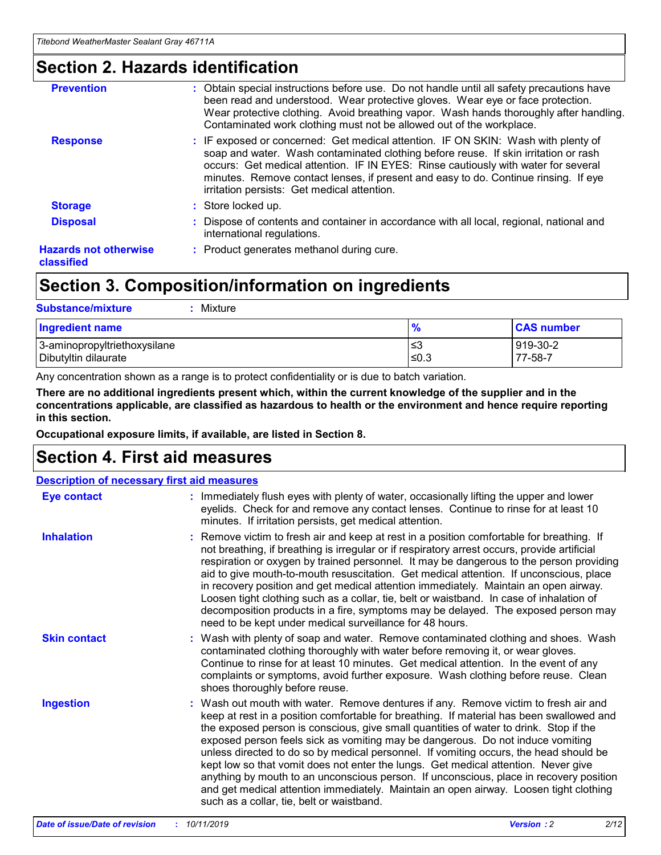### **Section 2. Hazards identification**

| <b>Prevention</b>                          | : Obtain special instructions before use. Do not handle until all safety precautions have<br>been read and understood. Wear protective gloves. Wear eye or face protection.<br>Wear protective clothing. Avoid breathing vapor. Wash hands thoroughly after handling.<br>Contaminated work clothing must not be allowed out of the workplace.                                                        |
|--------------------------------------------|------------------------------------------------------------------------------------------------------------------------------------------------------------------------------------------------------------------------------------------------------------------------------------------------------------------------------------------------------------------------------------------------------|
| <b>Response</b>                            | : IF exposed or concerned: Get medical attention. IF ON SKIN: Wash with plenty of<br>soap and water. Wash contaminated clothing before reuse. If skin irritation or rash<br>occurs: Get medical attention. IF IN EYES: Rinse cautiously with water for several<br>minutes. Remove contact lenses, if present and easy to do. Continue rinsing. If eye<br>irritation persists: Get medical attention. |
| <b>Storage</b>                             | : Store locked up.                                                                                                                                                                                                                                                                                                                                                                                   |
| <b>Disposal</b>                            | : Dispose of contents and container in accordance with all local, regional, national and<br>international regulations.                                                                                                                                                                                                                                                                               |
| <b>Hazards not otherwise</b><br>classified | : Product generates methanol during cure.                                                                                                                                                                                                                                                                                                                                                            |
|                                            |                                                                                                                                                                                                                                                                                                                                                                                                      |

### **Section 3. Composition/information on ingredients**

| <b>Substance/mixture</b><br>Mixture                  |               |                     |
|------------------------------------------------------|---------------|---------------------|
| <b>Ingredient name</b>                               | $\frac{9}{6}$ | <b>CAS number</b>   |
| 3-aminopropyltriethoxysilane<br>Dibutyltin dilaurate | l≤3<br>$≤0.3$ | 919-30-2<br>77-58-7 |

Any concentration shown as a range is to protect confidentiality or is due to batch variation.

**There are no additional ingredients present which, within the current knowledge of the supplier and in the concentrations applicable, are classified as hazardous to health or the environment and hence require reporting in this section.**

**Occupational exposure limits, if available, are listed in Section 8.**

### **Section 4. First aid measures**

| <b>Description of necessary first aid measures</b> |                                                                                                                                                                                                                                                                                                                                                                                                                                                                                                                                                                                                                                                                                                                                                                           |  |  |  |
|----------------------------------------------------|---------------------------------------------------------------------------------------------------------------------------------------------------------------------------------------------------------------------------------------------------------------------------------------------------------------------------------------------------------------------------------------------------------------------------------------------------------------------------------------------------------------------------------------------------------------------------------------------------------------------------------------------------------------------------------------------------------------------------------------------------------------------------|--|--|--|
| <b>Eye contact</b>                                 | : Immediately flush eyes with plenty of water, occasionally lifting the upper and lower<br>eyelids. Check for and remove any contact lenses. Continue to rinse for at least 10<br>minutes. If irritation persists, get medical attention.                                                                                                                                                                                                                                                                                                                                                                                                                                                                                                                                 |  |  |  |
| <b>Inhalation</b>                                  | : Remove victim to fresh air and keep at rest in a position comfortable for breathing. If<br>not breathing, if breathing is irregular or if respiratory arrest occurs, provide artificial<br>respiration or oxygen by trained personnel. It may be dangerous to the person providing<br>aid to give mouth-to-mouth resuscitation. Get medical attention. If unconscious, place<br>in recovery position and get medical attention immediately. Maintain an open airway.<br>Loosen tight clothing such as a collar, tie, belt or waistband. In case of inhalation of<br>decomposition products in a fire, symptoms may be delayed. The exposed person may<br>need to be kept under medical surveillance for 48 hours.                                                       |  |  |  |
| <b>Skin contact</b>                                | : Wash with plenty of soap and water. Remove contaminated clothing and shoes. Wash<br>contaminated clothing thoroughly with water before removing it, or wear gloves.<br>Continue to rinse for at least 10 minutes. Get medical attention. In the event of any<br>complaints or symptoms, avoid further exposure. Wash clothing before reuse. Clean<br>shoes thoroughly before reuse.                                                                                                                                                                                                                                                                                                                                                                                     |  |  |  |
| <b>Ingestion</b>                                   | : Wash out mouth with water. Remove dentures if any. Remove victim to fresh air and<br>keep at rest in a position comfortable for breathing. If material has been swallowed and<br>the exposed person is conscious, give small quantities of water to drink. Stop if the<br>exposed person feels sick as vomiting may be dangerous. Do not induce vomiting<br>unless directed to do so by medical personnel. If vomiting occurs, the head should be<br>kept low so that vomit does not enter the lungs. Get medical attention. Never give<br>anything by mouth to an unconscious person. If unconscious, place in recovery position<br>and get medical attention immediately. Maintain an open airway. Loosen tight clothing<br>such as a collar, tie, belt or waistband. |  |  |  |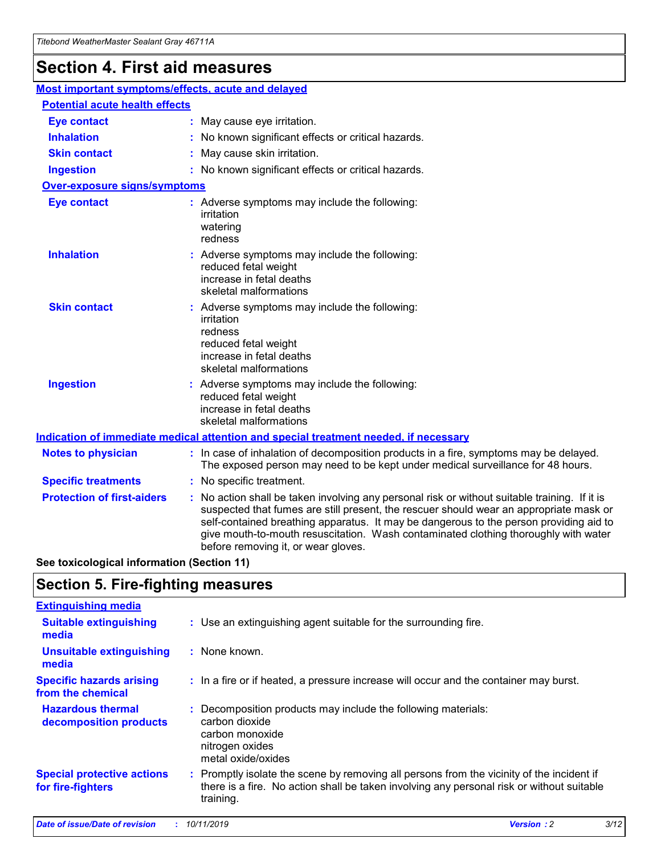## **Section 4. First aid measures**

| Most important symptoms/effects, acute and delayed |                                       |                                                                                                                                                                                                                                                                                                                                                                                                                 |  |  |  |
|----------------------------------------------------|---------------------------------------|-----------------------------------------------------------------------------------------------------------------------------------------------------------------------------------------------------------------------------------------------------------------------------------------------------------------------------------------------------------------------------------------------------------------|--|--|--|
|                                                    | <b>Potential acute health effects</b> |                                                                                                                                                                                                                                                                                                                                                                                                                 |  |  |  |
| <b>Eye contact</b>                                 |                                       | : May cause eye irritation.                                                                                                                                                                                                                                                                                                                                                                                     |  |  |  |
| <b>Inhalation</b>                                  |                                       | : No known significant effects or critical hazards.                                                                                                                                                                                                                                                                                                                                                             |  |  |  |
| <b>Skin contact</b>                                |                                       | : May cause skin irritation.                                                                                                                                                                                                                                                                                                                                                                                    |  |  |  |
| <b>Ingestion</b>                                   |                                       | : No known significant effects or critical hazards.                                                                                                                                                                                                                                                                                                                                                             |  |  |  |
| Over-exposure signs/symptoms                       |                                       |                                                                                                                                                                                                                                                                                                                                                                                                                 |  |  |  |
| <b>Eye contact</b>                                 |                                       | : Adverse symptoms may include the following:<br>irritation<br>watering<br>redness                                                                                                                                                                                                                                                                                                                              |  |  |  |
| <b>Inhalation</b>                                  |                                       | : Adverse symptoms may include the following:<br>reduced fetal weight<br>increase in fetal deaths<br>skeletal malformations                                                                                                                                                                                                                                                                                     |  |  |  |
| <b>Skin contact</b>                                |                                       | : Adverse symptoms may include the following:<br>irritation<br>redness<br>reduced fetal weight<br>increase in fetal deaths<br>skeletal malformations                                                                                                                                                                                                                                                            |  |  |  |
| <b>Ingestion</b>                                   |                                       | : Adverse symptoms may include the following:<br>reduced fetal weight<br>increase in fetal deaths<br>skeletal malformations                                                                                                                                                                                                                                                                                     |  |  |  |
|                                                    |                                       | <b>Indication of immediate medical attention and special treatment needed, if necessary</b>                                                                                                                                                                                                                                                                                                                     |  |  |  |
| <b>Notes to physician</b>                          |                                       | : In case of inhalation of decomposition products in a fire, symptoms may be delayed.<br>The exposed person may need to be kept under medical surveillance for 48 hours.                                                                                                                                                                                                                                        |  |  |  |
| <b>Specific treatments</b>                         |                                       | : No specific treatment.                                                                                                                                                                                                                                                                                                                                                                                        |  |  |  |
| <b>Protection of first-aiders</b>                  |                                       | : No action shall be taken involving any personal risk or without suitable training. If it is<br>suspected that fumes are still present, the rescuer should wear an appropriate mask or<br>self-contained breathing apparatus. It may be dangerous to the person providing aid to<br>give mouth-to-mouth resuscitation. Wash contaminated clothing thoroughly with water<br>before removing it, or wear gloves. |  |  |  |

**See toxicological information (Section 11)**

### **Section 5. Fire-fighting measures**

| <b>Extinguishing media</b>                             |                                                                                                                                                                                                     |
|--------------------------------------------------------|-----------------------------------------------------------------------------------------------------------------------------------------------------------------------------------------------------|
| <b>Suitable extinguishing</b><br>media                 | : Use an extinguishing agent suitable for the surrounding fire.                                                                                                                                     |
| <b>Unsuitable extinguishing</b><br>media               | : None known.                                                                                                                                                                                       |
| <b>Specific hazards arising</b><br>from the chemical   | : In a fire or if heated, a pressure increase will occur and the container may burst.                                                                                                               |
| <b>Hazardous thermal</b><br>decomposition products     | : Decomposition products may include the following materials:<br>carbon dioxide<br>carbon monoxide<br>nitrogen oxides<br>metal oxide/oxides                                                         |
| <b>Special protective actions</b><br>for fire-fighters | : Promptly isolate the scene by removing all persons from the vicinity of the incident if<br>there is a fire. No action shall be taken involving any personal risk or without suitable<br>training. |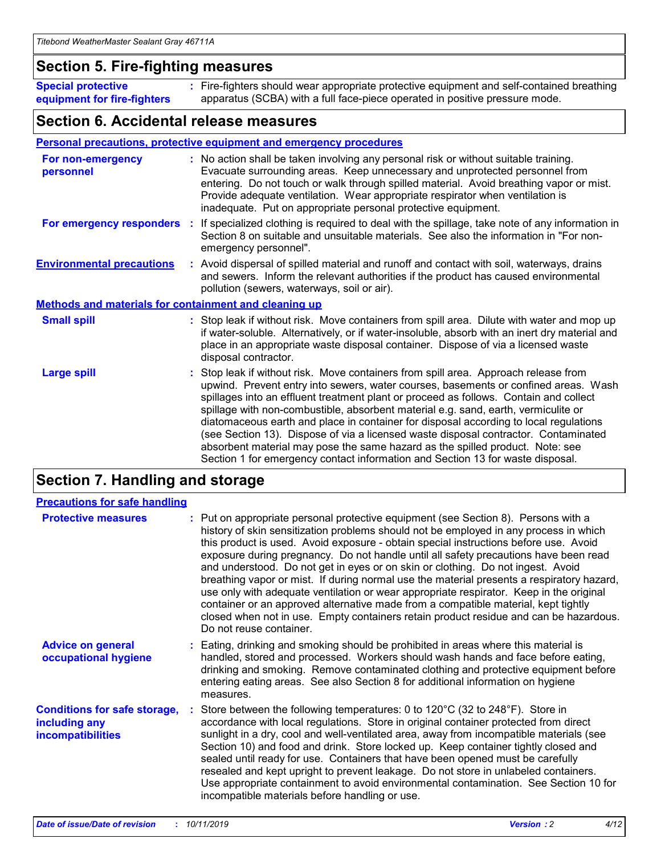### **Section 5. Fire-fighting measures**

**Special protective equipment for fire-fighters** Fire-fighters should wear appropriate protective equipment and self-contained breathing **:** apparatus (SCBA) with a full face-piece operated in positive pressure mode.

### **Section 6. Accidental release measures**

#### **Personal precautions, protective equipment and emergency procedures**

| For non-emergency<br>personnel                               | : No action shall be taken involving any personal risk or without suitable training.<br>Evacuate surrounding areas. Keep unnecessary and unprotected personnel from<br>entering. Do not touch or walk through spilled material. Avoid breathing vapor or mist.<br>Provide adequate ventilation. Wear appropriate respirator when ventilation is<br>inadequate. Put on appropriate personal protective equipment.                                                                                                                                                                                                                                                                                             |
|--------------------------------------------------------------|--------------------------------------------------------------------------------------------------------------------------------------------------------------------------------------------------------------------------------------------------------------------------------------------------------------------------------------------------------------------------------------------------------------------------------------------------------------------------------------------------------------------------------------------------------------------------------------------------------------------------------------------------------------------------------------------------------------|
| For emergency responders                                     | : If specialized clothing is required to deal with the spillage, take note of any information in<br>Section 8 on suitable and unsuitable materials. See also the information in "For non-<br>emergency personnel".                                                                                                                                                                                                                                                                                                                                                                                                                                                                                           |
| <b>Environmental precautions</b>                             | : Avoid dispersal of spilled material and runoff and contact with soil, waterways, drains<br>and sewers. Inform the relevant authorities if the product has caused environmental<br>pollution (sewers, waterways, soil or air).                                                                                                                                                                                                                                                                                                                                                                                                                                                                              |
| <b>Methods and materials for containment and cleaning up</b> |                                                                                                                                                                                                                                                                                                                                                                                                                                                                                                                                                                                                                                                                                                              |
| <b>Small spill</b>                                           | : Stop leak if without risk. Move containers from spill area. Dilute with water and mop up<br>if water-soluble. Alternatively, or if water-insoluble, absorb with an inert dry material and<br>place in an appropriate waste disposal container. Dispose of via a licensed waste<br>disposal contractor.                                                                                                                                                                                                                                                                                                                                                                                                     |
| <b>Large spill</b>                                           | : Stop leak if without risk. Move containers from spill area. Approach release from<br>upwind. Prevent entry into sewers, water courses, basements or confined areas. Wash<br>spillages into an effluent treatment plant or proceed as follows. Contain and collect<br>spillage with non-combustible, absorbent material e.g. sand, earth, vermiculite or<br>diatomaceous earth and place in container for disposal according to local regulations<br>(see Section 13). Dispose of via a licensed waste disposal contractor. Contaminated<br>absorbent material may pose the same hazard as the spilled product. Note: see<br>Section 1 for emergency contact information and Section 13 for waste disposal. |

### **Section 7. Handling and storage**

| <b>Precautions for safe handling</b>                                             |                                                                                                                                                                                                                                                                                                                                                                                                                                                                                                                                                                                                                                                                                                                                                                                                                                                  |
|----------------------------------------------------------------------------------|--------------------------------------------------------------------------------------------------------------------------------------------------------------------------------------------------------------------------------------------------------------------------------------------------------------------------------------------------------------------------------------------------------------------------------------------------------------------------------------------------------------------------------------------------------------------------------------------------------------------------------------------------------------------------------------------------------------------------------------------------------------------------------------------------------------------------------------------------|
| <b>Protective measures</b>                                                       | : Put on appropriate personal protective equipment (see Section 8). Persons with a<br>history of skin sensitization problems should not be employed in any process in which<br>this product is used. Avoid exposure - obtain special instructions before use. Avoid<br>exposure during pregnancy. Do not handle until all safety precautions have been read<br>and understood. Do not get in eyes or on skin or clothing. Do not ingest. Avoid<br>breathing vapor or mist. If during normal use the material presents a respiratory hazard,<br>use only with adequate ventilation or wear appropriate respirator. Keep in the original<br>container or an approved alternative made from a compatible material, kept tightly<br>closed when not in use. Empty containers retain product residue and can be hazardous.<br>Do not reuse container. |
| <b>Advice on general</b><br>occupational hygiene                                 | : Eating, drinking and smoking should be prohibited in areas where this material is<br>handled, stored and processed. Workers should wash hands and face before eating,<br>drinking and smoking. Remove contaminated clothing and protective equipment before<br>entering eating areas. See also Section 8 for additional information on hygiene<br>measures.                                                                                                                                                                                                                                                                                                                                                                                                                                                                                    |
| <b>Conditions for safe storage,</b><br>including any<br><b>incompatibilities</b> | Store between the following temperatures: 0 to 120°C (32 to 248°F). Store in<br>accordance with local regulations. Store in original container protected from direct<br>sunlight in a dry, cool and well-ventilated area, away from incompatible materials (see<br>Section 10) and food and drink. Store locked up. Keep container tightly closed and<br>sealed until ready for use. Containers that have been opened must be carefully<br>resealed and kept upright to prevent leakage. Do not store in unlabeled containers.<br>Use appropriate containment to avoid environmental contamination. See Section 10 for<br>incompatible materials before handling or use.                                                                                                                                                                         |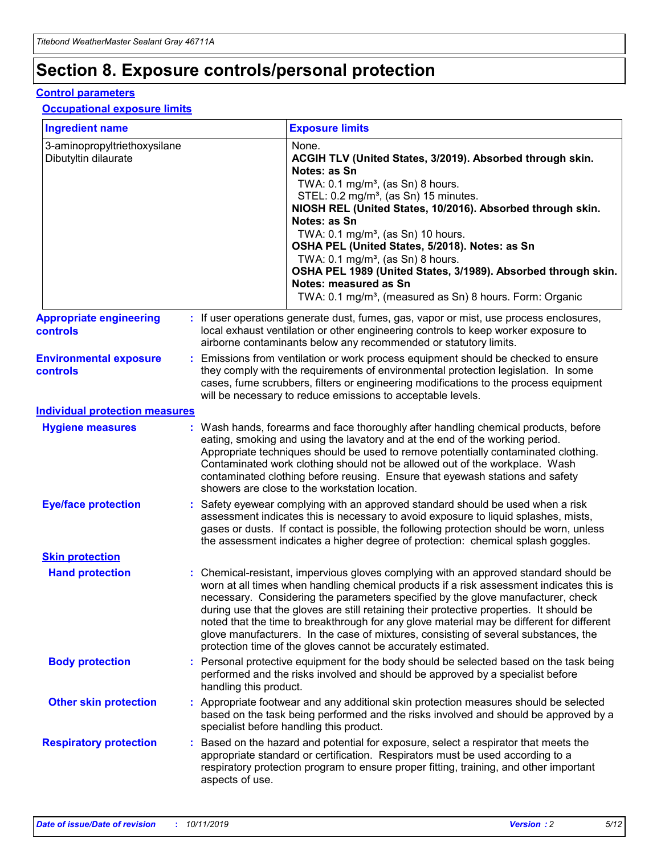## **Section 8. Exposure controls/personal protection**

#### **Control parameters**

#### **Occupational exposure limits**

| <b>Ingredient name</b>                               |    |                                          | <b>Exposure limits</b>                                                                                                                                                                                                                                                                                                                                                                                                                                                                                                                                                                                                 |
|------------------------------------------------------|----|------------------------------------------|------------------------------------------------------------------------------------------------------------------------------------------------------------------------------------------------------------------------------------------------------------------------------------------------------------------------------------------------------------------------------------------------------------------------------------------------------------------------------------------------------------------------------------------------------------------------------------------------------------------------|
| 3-aminopropyltriethoxysilane<br>Dibutyltin dilaurate |    |                                          | None.<br>ACGIH TLV (United States, 3/2019). Absorbed through skin.<br>Notes: as Sn<br>TWA: 0.1 mg/m <sup>3</sup> , (as Sn) 8 hours.<br>STEL: 0.2 mg/m <sup>3</sup> , (as Sn) 15 minutes.<br>NIOSH REL (United States, 10/2016). Absorbed through skin.<br>Notes: as Sn<br>TWA: 0.1 mg/m <sup>3</sup> , (as Sn) 10 hours.<br>OSHA PEL (United States, 5/2018). Notes: as Sn<br>TWA: $0.1 \text{ mg/m}^3$ , (as Sn) 8 hours.<br>OSHA PEL 1989 (United States, 3/1989). Absorbed through skin.<br>Notes: measured as Sn<br>TWA: 0.1 mg/m <sup>3</sup> , (measured as Sn) 8 hours. Form: Organic                           |
| <b>Appropriate engineering</b><br>controls           |    |                                          | : If user operations generate dust, fumes, gas, vapor or mist, use process enclosures,<br>local exhaust ventilation or other engineering controls to keep worker exposure to<br>airborne contaminants below any recommended or statutory limits.                                                                                                                                                                                                                                                                                                                                                                       |
| <b>Environmental exposure</b><br><b>controls</b>     |    |                                          | Emissions from ventilation or work process equipment should be checked to ensure<br>they comply with the requirements of environmental protection legislation. In some<br>cases, fume scrubbers, filters or engineering modifications to the process equipment<br>will be necessary to reduce emissions to acceptable levels.                                                                                                                                                                                                                                                                                          |
| <b>Individual protection measures</b>                |    |                                          |                                                                                                                                                                                                                                                                                                                                                                                                                                                                                                                                                                                                                        |
| <b>Hygiene measures</b>                              |    |                                          | : Wash hands, forearms and face thoroughly after handling chemical products, before<br>eating, smoking and using the lavatory and at the end of the working period.<br>Appropriate techniques should be used to remove potentially contaminated clothing.<br>Contaminated work clothing should not be allowed out of the workplace. Wash<br>contaminated clothing before reusing. Ensure that eyewash stations and safety<br>showers are close to the workstation location.                                                                                                                                            |
| <b>Eye/face protection</b>                           |    |                                          | : Safety eyewear complying with an approved standard should be used when a risk<br>assessment indicates this is necessary to avoid exposure to liquid splashes, mists,<br>gases or dusts. If contact is possible, the following protection should be worn, unless<br>the assessment indicates a higher degree of protection: chemical splash goggles.                                                                                                                                                                                                                                                                  |
| <b>Skin protection</b>                               |    |                                          |                                                                                                                                                                                                                                                                                                                                                                                                                                                                                                                                                                                                                        |
| <b>Hand protection</b>                               |    |                                          | : Chemical-resistant, impervious gloves complying with an approved standard should be<br>worn at all times when handling chemical products if a risk assessment indicates this is<br>necessary. Considering the parameters specified by the glove manufacturer, check<br>during use that the gloves are still retaining their protective properties. It should be<br>noted that the time to breakthrough for any glove material may be different for different<br>glove manufacturers. In the case of mixtures, consisting of several substances, the<br>protection time of the gloves cannot be accurately estimated. |
| <b>Body protection</b>                               |    | handling this product.                   | Personal protective equipment for the body should be selected based on the task being<br>performed and the risks involved and should be approved by a specialist before                                                                                                                                                                                                                                                                                                                                                                                                                                                |
| <b>Other skin protection</b>                         |    | specialist before handling this product. | : Appropriate footwear and any additional skin protection measures should be selected<br>based on the task being performed and the risks involved and should be approved by a                                                                                                                                                                                                                                                                                                                                                                                                                                          |
| <b>Respiratory protection</b>                        | ÷. | aspects of use.                          | Based on the hazard and potential for exposure, select a respirator that meets the<br>appropriate standard or certification. Respirators must be used according to a<br>respiratory protection program to ensure proper fitting, training, and other important                                                                                                                                                                                                                                                                                                                                                         |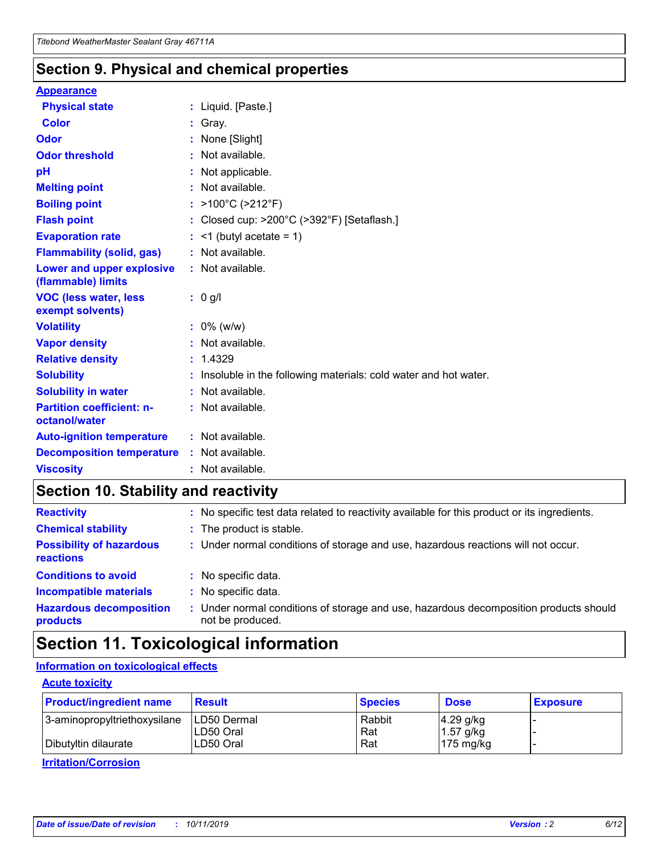### **Section 9. Physical and chemical properties**

#### **Appearance**

| <b>Physical state</b>                             | : Liquid. [Paste.]                                                |
|---------------------------------------------------|-------------------------------------------------------------------|
| Color                                             | Gray.                                                             |
| Odor                                              | None [Slight]                                                     |
| <b>Odor threshold</b>                             | : Not available.                                                  |
| рH                                                | : Not applicable.                                                 |
| <b>Melting point</b>                              | : Not available.                                                  |
| <b>Boiling point</b>                              | : $>100^{\circ}$ C ( $>212^{\circ}$ F)                            |
| <b>Flash point</b>                                | : Closed cup: $>200^{\circ}$ C ( $>392^{\circ}$ F) [Setaflash.]   |
| <b>Evaporation rate</b>                           | $:$ <1 (butyl acetate = 1)                                        |
| <b>Flammability (solid, gas)</b>                  | : Not available.                                                  |
| Lower and upper explosive<br>(flammable) limits   | : Not available.                                                  |
| <b>VOC (less water, less</b><br>exempt solvents)  | $: 0$ g/l                                                         |
| <b>Volatility</b>                                 | $: 0\%$ (w/w)                                                     |
| <b>Vapor density</b>                              | : Not available.                                                  |
| <b>Relative density</b>                           | : 1.4329                                                          |
| <b>Solubility</b>                                 | : Insoluble in the following materials: cold water and hot water. |
| <b>Solubility in water</b>                        | : Not available.                                                  |
| <b>Partition coefficient: n-</b><br>octanol/water | : Not available.                                                  |
| <b>Auto-ignition temperature</b>                  | $:$ Not available.                                                |
| <b>Decomposition temperature</b>                  | : Not available.                                                  |
| <b>Viscosity</b>                                  | : Not available.                                                  |

### **Section 10. Stability and reactivity**

| <b>Reactivity</b>                            |    | : No specific test data related to reactivity available for this product or its ingredients.            |
|----------------------------------------------|----|---------------------------------------------------------------------------------------------------------|
| <b>Chemical stability</b>                    |    | : The product is stable.                                                                                |
| <b>Possibility of hazardous</b><br>reactions |    | : Under normal conditions of storage and use, hazardous reactions will not occur.                       |
| <b>Conditions to avoid</b>                   |    | : No specific data.                                                                                     |
| <b>Incompatible materials</b>                | ٠. | No specific data.                                                                                       |
| <b>Hazardous decomposition</b><br>products   | ÷. | Under normal conditions of storage and use, hazardous decomposition products should<br>not be produced. |

### **Section 11. Toxicological information**

### **Information on toxicological effects**

#### **Acute toxicity**

| <b>Product/ingredient name</b> | <b>Result</b>           | <b>Species</b> | <b>Dose</b>                | <b>Exposure</b> |
|--------------------------------|-------------------------|----------------|----------------------------|-----------------|
| 3-aminopropyltriethoxysilane   | <b>ILD50 Dermal</b>     | Rabbit         | 4.29 g/kg                  |                 |
| Dibutyltin dilaurate           | ILD50 Oral<br>LD50 Oral | Rat<br>Rat     | $1.57$ g/kg<br>175 $mg/kg$ |                 |
|                                |                         |                |                            |                 |

**Irritation/Corrosion**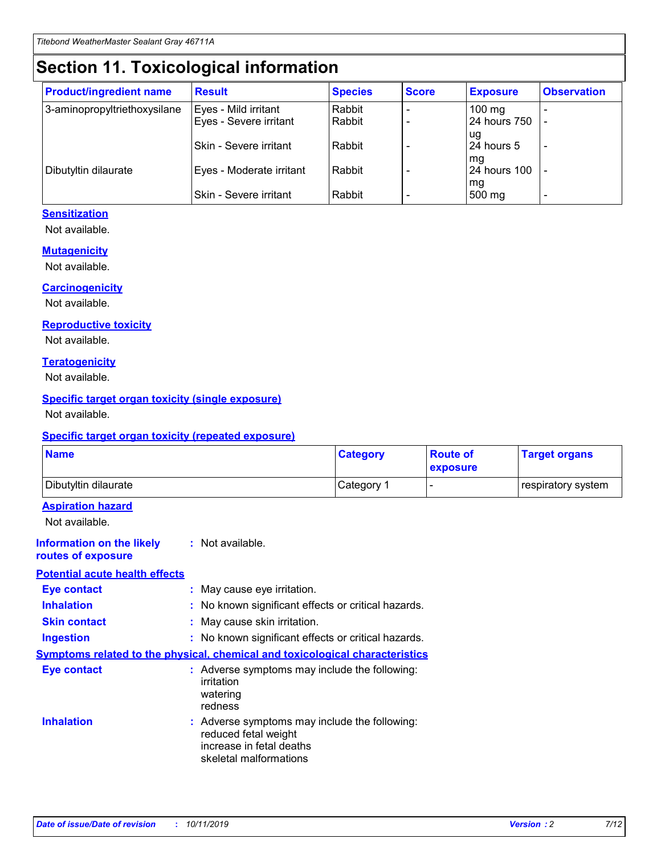## **Section 11. Toxicological information**

| <b>Product/ingredient name</b> | <b>Result</b>            | <b>Species</b> | <b>Score</b> | <b>Exposure</b>           | <b>Observation</b> |
|--------------------------------|--------------------------|----------------|--------------|---------------------------|--------------------|
| 3-aminopropyltriethoxysilane   | Eyes - Mild irritant     | Rabbit         |              | $100$ mg                  |                    |
|                                | Eyes - Severe irritant   | Rabbit         |              | 24 hours 750              |                    |
|                                |                          |                |              | ug                        |                    |
|                                | Skin - Severe irritant   | Rabbit         |              | 24 hours 5                | -                  |
| Dibutyltin dilaurate           | Eyes - Moderate irritant | Rabbit         |              | mg<br><b>24 hours 100</b> |                    |
|                                |                          |                |              | mg                        |                    |
|                                | Skin - Severe irritant   | Rabbit         |              | 500 mg                    | -                  |

#### **Sensitization**

Not available.

#### **Mutagenicity**

Not available.

#### **Carcinogenicity**

Not available.

#### **Reproductive toxicity**

Not available.

#### **Teratogenicity**

Not available.

#### **Specific target organ toxicity (single exposure)**

Not available.

#### **Specific target organ toxicity (repeated exposure)**

| <b>Name</b>                                                                         |                                                                            | <b>Category</b>                                     | <b>Route of</b><br>exposure | <b>Target organs</b> |
|-------------------------------------------------------------------------------------|----------------------------------------------------------------------------|-----------------------------------------------------|-----------------------------|----------------------|
| Dibutyltin dilaurate                                                                |                                                                            | Category 1                                          | -                           | respiratory system   |
| <b>Aspiration hazard</b><br>Not available.                                          |                                                                            |                                                     |                             |                      |
| <b>Information on the likely</b><br>routes of exposure                              | : Not available.                                                           |                                                     |                             |                      |
| <b>Potential acute health effects</b>                                               |                                                                            |                                                     |                             |                      |
| <b>Eye contact</b>                                                                  | : May cause eye irritation.                                                |                                                     |                             |                      |
| <b>Inhalation</b>                                                                   |                                                                            | : No known significant effects or critical hazards. |                             |                      |
| <b>Skin contact</b>                                                                 | : May cause skin irritation.                                               |                                                     |                             |                      |
| <b>Ingestion</b>                                                                    |                                                                            | : No known significant effects or critical hazards. |                             |                      |
| <b>Symptoms related to the physical, chemical and toxicological characteristics</b> |                                                                            |                                                     |                             |                      |
| <b>Eye contact</b>                                                                  | irritation<br>watering<br>redness                                          | : Adverse symptoms may include the following:       |                             |                      |
| <b>Inhalation</b>                                                                   | reduced fetal weight<br>increase in fetal deaths<br>skeletal malformations | : Adverse symptoms may include the following:       |                             |                      |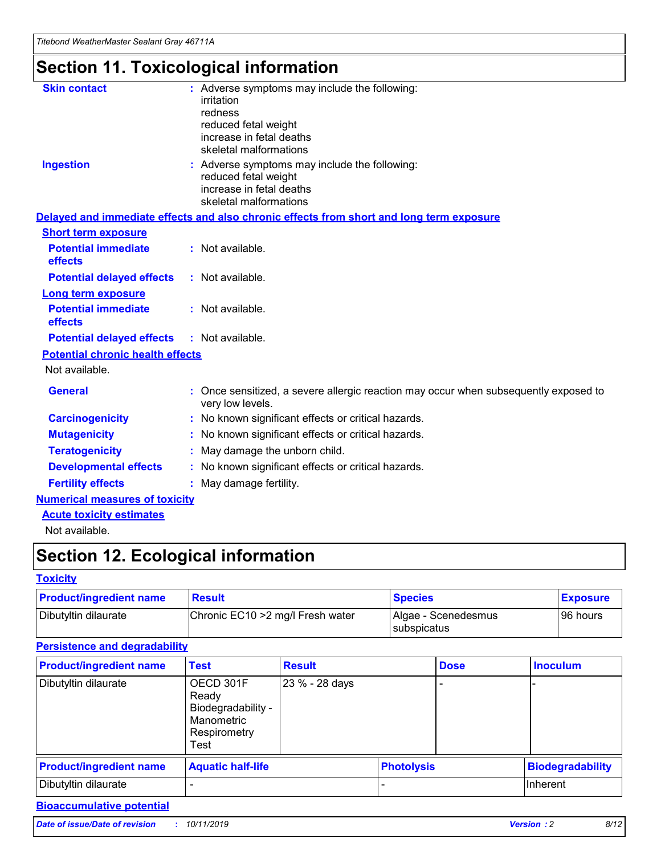## **Section 11. Toxicological information**

| <b>Skin contact</b>                     | : Adverse symptoms may include the following:<br>irritation<br>redness<br>reduced fetal weight<br>increase in fetal deaths<br>skeletal malformations |
|-----------------------------------------|------------------------------------------------------------------------------------------------------------------------------------------------------|
| <b>Ingestion</b>                        | : Adverse symptoms may include the following:<br>reduced fetal weight<br>increase in fetal deaths<br>skeletal malformations                          |
|                                         | Delayed and immediate effects and also chronic effects from short and long term exposure                                                             |
| <b>Short term exposure</b>              |                                                                                                                                                      |
| <b>Potential immediate</b><br>effects   | : Not available.                                                                                                                                     |
| <b>Potential delayed effects</b>        | : Not available.                                                                                                                                     |
| <b>Long term exposure</b>               |                                                                                                                                                      |
| <b>Potential immediate</b><br>effects   | : Not available.                                                                                                                                     |
| <b>Potential delayed effects</b>        | : Not available.                                                                                                                                     |
| <b>Potential chronic health effects</b> |                                                                                                                                                      |
| Not available.                          |                                                                                                                                                      |
| <b>General</b>                          | : Once sensitized, a severe allergic reaction may occur when subsequently exposed to<br>very low levels.                                             |
| <b>Carcinogenicity</b>                  | : No known significant effects or critical hazards.                                                                                                  |
| <b>Mutagenicity</b>                     | No known significant effects or critical hazards.                                                                                                    |
| <b>Teratogenicity</b>                   | May damage the unborn child.                                                                                                                         |
| <b>Developmental effects</b>            | No known significant effects or critical hazards.                                                                                                    |
| <b>Fertility effects</b>                | : May damage fertility.                                                                                                                              |
| <b>Numerical measures of toxicity</b>   |                                                                                                                                                      |
| <b>Acute toxicity estimates</b>         |                                                                                                                                                      |
|                                         |                                                                                                                                                      |

Not available.

## **Section 12. Ecological information**

#### **Toxicity**

| <b>Product/ingredient name</b> | <b>Result</b>                     | <b>Species</b>                       | <b>Exposure</b> |
|--------------------------------|-----------------------------------|--------------------------------------|-----------------|
| Dibutyltin dilaurate           | Chronic EC10 > 2 mg/l Fresh water | Algae - Scenedesmus<br>I subspicatus | l 96 hours      |

#### **Persistence and degradability**

| <b>Product/ingredient name</b> | Test                                                                           | <b>Result</b>  |                   | <b>Dose</b> | <b>Inoculum</b>         |
|--------------------------------|--------------------------------------------------------------------------------|----------------|-------------------|-------------|-------------------------|
| Dibutyltin dilaurate           | OECD 301F<br>Ready<br>Biodegradability -<br>Manometric<br>Respirometry<br>Test | 23 % - 28 days |                   |             |                         |
| <b>Product/ingredient name</b> | <b>Aquatic half-life</b>                                                       |                | <b>Photolysis</b> |             | <b>Biodegradability</b> |
| Dibutyltin dilaurate           |                                                                                |                |                   |             | Inherent                |

### **Bioaccumulative potential**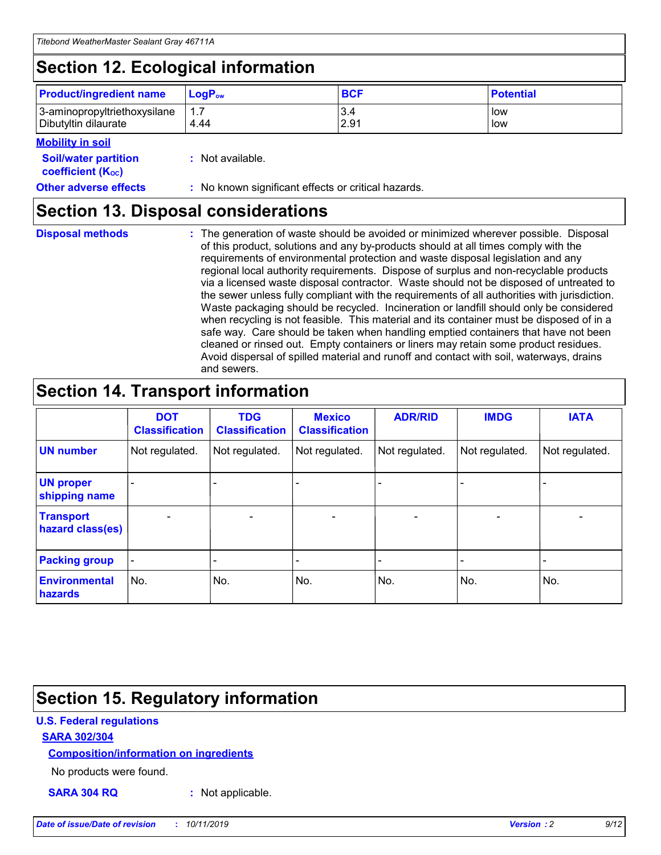## **Section 12. Ecological information**

| <b>Product/ingredient name</b>                       | ∣LoqP <sub>ow</sub> | <b>BCF</b>  | <b>Potential</b> |
|------------------------------------------------------|---------------------|-------------|------------------|
| 3-aminopropyltriethoxysilane<br>Dibutyltin dilaurate | 1.1<br>4.44         | 3.4<br>2.91 | low<br>low       |

#### **Mobility in soil**

| <i></i>                                                       |                                                     |
|---------------------------------------------------------------|-----------------------------------------------------|
| <b>Soil/water partition</b><br>coefficient (K <sub>oc</sub> ) | : Not available.                                    |
| <b>Other adverse effects</b>                                  | : No known significant effects or critical hazards. |

### **Section 13. Disposal considerations**

**Disposal methods :**

The generation of waste should be avoided or minimized wherever possible. Disposal of this product, solutions and any by-products should at all times comply with the requirements of environmental protection and waste disposal legislation and any regional local authority requirements. Dispose of surplus and non-recyclable products via a licensed waste disposal contractor. Waste should not be disposed of untreated to the sewer unless fully compliant with the requirements of all authorities with jurisdiction. Waste packaging should be recycled. Incineration or landfill should only be considered when recycling is not feasible. This material and its container must be disposed of in a safe way. Care should be taken when handling emptied containers that have not been cleaned or rinsed out. Empty containers or liners may retain some product residues. Avoid dispersal of spilled material and runoff and contact with soil, waterways, drains and sewers.

## **Section 14. Transport information**

|                                      | <b>DOT</b><br><b>Classification</b> | <b>TDG</b><br><b>Classification</b> | <b>Mexico</b><br><b>Classification</b> | <b>ADR/RID</b>               | <b>IMDG</b>              | <b>IATA</b>    |
|--------------------------------------|-------------------------------------|-------------------------------------|----------------------------------------|------------------------------|--------------------------|----------------|
| <b>UN number</b>                     | Not regulated.                      | Not regulated.                      | Not regulated.                         | Not regulated.               | Not regulated.           | Not regulated. |
| <b>UN proper</b><br>shipping name    |                                     |                                     |                                        |                              |                          |                |
| <b>Transport</b><br>hazard class(es) | $\blacksquare$                      | $\overline{\phantom{a}}$            | $\overline{\phantom{0}}$               | $\qquad \qquad \blacksquare$ | $\overline{\phantom{a}}$ | $\blacksquare$ |
| <b>Packing group</b>                 | -                                   |                                     |                                        |                              |                          |                |
| <b>Environmental</b><br>hazards      | No.                                 | No.                                 | No.                                    | No.                          | No.                      | No.            |

## **Section 15. Regulatory information**

#### **U.S. Federal regulations**

#### **SARA 302/304**

#### **Composition/information on ingredients**

No products were found.

**SARA 304 RQ :** Not applicable.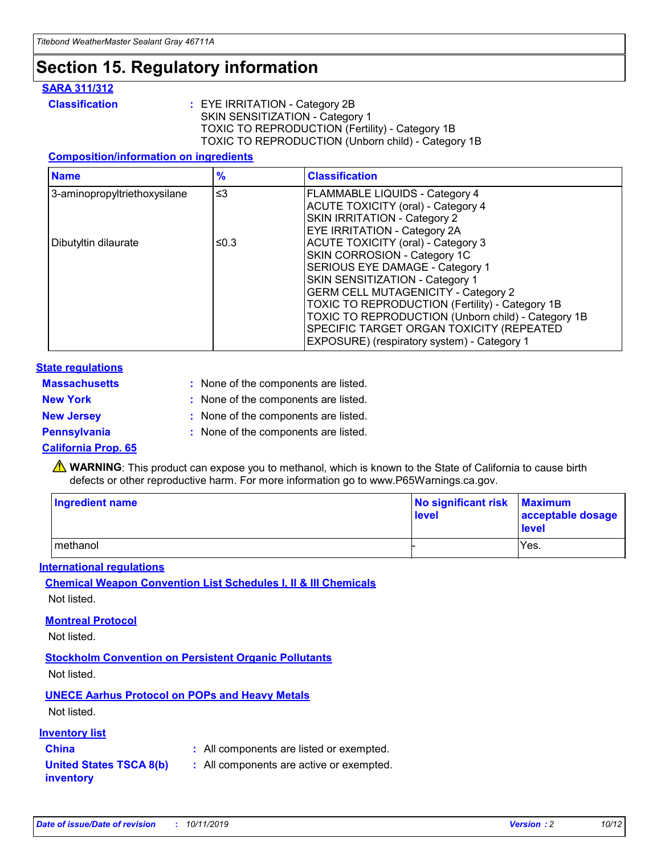### **Section 15. Regulatory information**

#### **SARA 311/312**

**Classification :** EYE IRRITATION - Category 2B SKIN SENSITIZATION - Category 1 TOXIC TO REPRODUCTION (Fertility) - Category 1B TOXIC TO REPRODUCTION (Unborn child) - Category 1B

#### **Composition/information on ingredients**

| <b>Name</b>                  | $\frac{9}{6}$ | <b>Classification</b>                                                                                            |
|------------------------------|---------------|------------------------------------------------------------------------------------------------------------------|
| 3-aminopropyltriethoxysilane | $\leq$ 3      | <b>FLAMMABLE LIQUIDS - Category 4</b><br><b>ACUTE TOXICITY (oral) - Category 4</b>                               |
|                              |               | SKIN IRRITATION - Category 2<br>EYE IRRITATION - Category 2A                                                     |
| Dibutyltin dilaurate         | ≤0.3          | ACUTE TOXICITY (oral) - Category 3<br>SKIN CORROSION - Category 1C                                               |
|                              |               | SERIOUS EYE DAMAGE - Category 1<br>SKIN SENSITIZATION - Category 1<br><b>GERM CELL MUTAGENICITY - Category 2</b> |
|                              |               | TOXIC TO REPRODUCTION (Fertility) - Category 1B<br>TOXIC TO REPRODUCTION (Unborn child) - Category 1B            |
|                              |               | SPECIFIC TARGET ORGAN TOXICITY (REPEATED<br>EXPOSURE) (respiratory system) - Category 1                          |

#### **State regulations**

| <b>Massachusetts</b> | : None of the components are listed. |
|----------------------|--------------------------------------|
| <b>New York</b>      | : None of the components are listed. |
| <b>New Jersey</b>    | : None of the components are listed. |
| <b>Pennsylvania</b>  | : None of the components are listed. |

#### **California Prop. 65**

**A** WARNING: This product can expose you to methanol, which is known to the State of California to cause birth defects or other reproductive harm. For more information go to www.P65Warnings.ca.gov.

| <b>Ingredient name</b> | No significant risk Maximum<br>level | acceptable dosage<br>level |
|------------------------|--------------------------------------|----------------------------|
| methanol               |                                      | Yes.                       |

#### **International regulations**

**Chemical Weapon Convention List Schedules I, II & III Chemicals** Not listed.

#### **Montreal Protocol**

Not listed.

#### **Stockholm Convention on Persistent Organic Pollutants**

Not listed.

### **UNECE Aarhus Protocol on POPs and Heavy Metals**

Not listed.

#### **Inventory list**

### **China :** All components are listed or exempted.

**United States TSCA 8(b) inventory :** All components are active or exempted.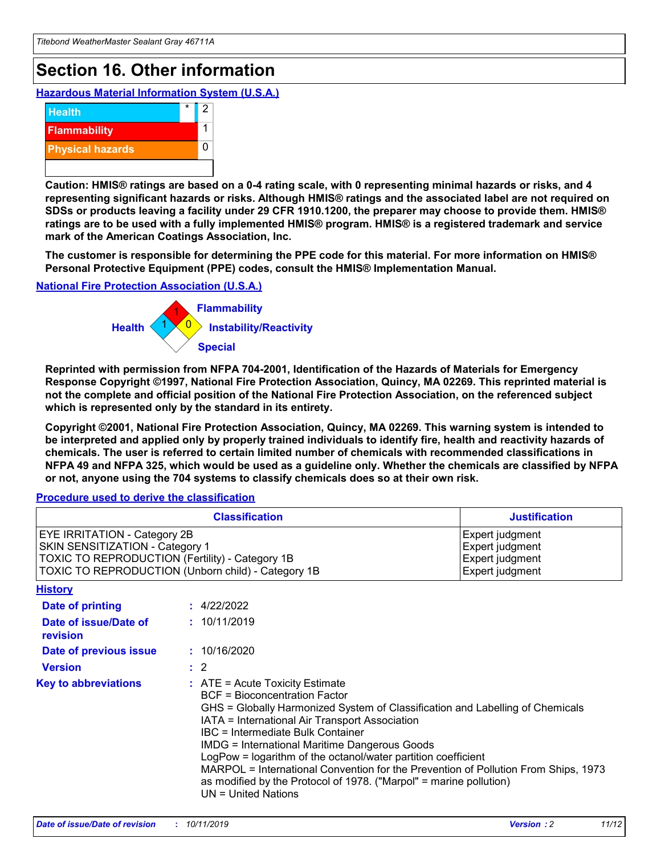## **Section 16. Other information**

**Hazardous Material Information System (U.S.A.)**



**Caution: HMIS® ratings are based on a 0-4 rating scale, with 0 representing minimal hazards or risks, and 4 representing significant hazards or risks. Although HMIS® ratings and the associated label are not required on SDSs or products leaving a facility under 29 CFR 1910.1200, the preparer may choose to provide them. HMIS® ratings are to be used with a fully implemented HMIS® program. HMIS® is a registered trademark and service mark of the American Coatings Association, Inc.**

**The customer is responsible for determining the PPE code for this material. For more information on HMIS® Personal Protective Equipment (PPE) codes, consult the HMIS® Implementation Manual.**

#### **National Fire Protection Association (U.S.A.)**



**Reprinted with permission from NFPA 704-2001, Identification of the Hazards of Materials for Emergency Response Copyright ©1997, National Fire Protection Association, Quincy, MA 02269. This reprinted material is not the complete and official position of the National Fire Protection Association, on the referenced subject which is represented only by the standard in its entirety.**

**Copyright ©2001, National Fire Protection Association, Quincy, MA 02269. This warning system is intended to be interpreted and applied only by properly trained individuals to identify fire, health and reactivity hazards of chemicals. The user is referred to certain limited number of chemicals with recommended classifications in NFPA 49 and NFPA 325, which would be used as a guideline only. Whether the chemicals are classified by NFPA or not, anyone using the 704 systems to classify chemicals does so at their own risk.**

#### **Procedure used to derive the classification**

| <b>Classification</b>                                                                                                                                                    |                                                                                                                                                                                                                                                                                                                                                                                                                                                                                                                                                               | <b>Justification</b>                                                     |
|--------------------------------------------------------------------------------------------------------------------------------------------------------------------------|---------------------------------------------------------------------------------------------------------------------------------------------------------------------------------------------------------------------------------------------------------------------------------------------------------------------------------------------------------------------------------------------------------------------------------------------------------------------------------------------------------------------------------------------------------------|--------------------------------------------------------------------------|
| EYE IRRITATION - Category 2B<br>SKIN SENSITIZATION - Category 1<br>TOXIC TO REPRODUCTION (Fertility) - Category 1B<br>TOXIC TO REPRODUCTION (Unborn child) - Category 1B |                                                                                                                                                                                                                                                                                                                                                                                                                                                                                                                                                               | Expert judgment<br>Expert judgment<br>Expert judgment<br>Expert judgment |
| <b>History</b>                                                                                                                                                           |                                                                                                                                                                                                                                                                                                                                                                                                                                                                                                                                                               |                                                                          |
| <b>Date of printing</b>                                                                                                                                                  | : 4/22/2022                                                                                                                                                                                                                                                                                                                                                                                                                                                                                                                                                   |                                                                          |
| Date of issue/Date of<br>revision                                                                                                                                        | : 10/11/2019                                                                                                                                                                                                                                                                                                                                                                                                                                                                                                                                                  |                                                                          |
| Date of previous issue                                                                                                                                                   | : 10/16/2020                                                                                                                                                                                                                                                                                                                                                                                                                                                                                                                                                  |                                                                          |
| <b>Version</b>                                                                                                                                                           | $\therefore$ 2                                                                                                                                                                                                                                                                                                                                                                                                                                                                                                                                                |                                                                          |
| <b>Key to abbreviations</b>                                                                                                                                              | $:$ ATE = Acute Toxicity Estimate<br><b>BCF</b> = Bioconcentration Factor<br>GHS = Globally Harmonized System of Classification and Labelling of Chemicals<br>IATA = International Air Transport Association<br>IBC = Intermediate Bulk Container<br><b>IMDG = International Maritime Dangerous Goods</b><br>LogPow = logarithm of the octanol/water partition coefficient<br>MARPOL = International Convention for the Prevention of Pollution From Ships, 1973<br>as modified by the Protocol of 1978. ("Marpol" = marine pollution)<br>UN = United Nations |                                                                          |